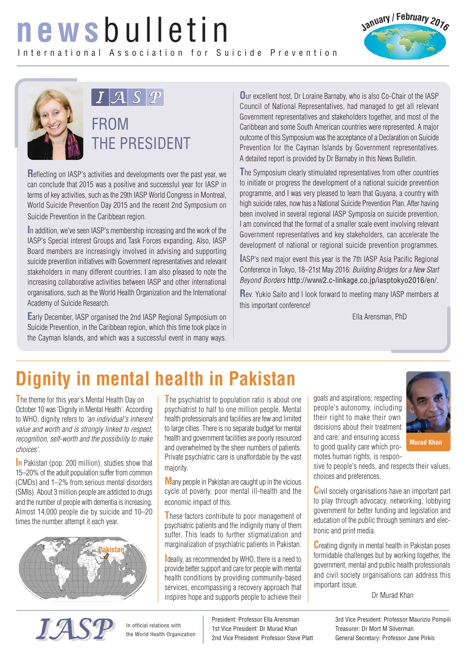## **news**bulletin International Association for Suicide Prevention





## $\boxed{I \cancel{A} S}$

FROM THE PRESIDENT

**R**eflecting on IASP's activities and developments over the past year, we can conclude that 2015 was a positive and successful year for IASP in terms of key activities, such as the 29th IASP World Congress in Montreal, World Suicide Prevention Day 2015 and the recent 2nd Symposium on Suicide Prevention in the Caribbean region.

**I**n addition, we've seen IASP's membership increasing and the work of the IASP's Special interest Groups and Task Forces expanding. Also, IASP Board members are increasingly involved in advising and supporting suicide prevention initiatives with Government representatives and relevant stakeholders in many different countries. I am also pleased to note the increasing collaborative activities between IASP and other international organisations, such as the World Health Organization and the International Academy of Suicide Research.

**E**arly December, IASP organised the 2nd IASP Regional Symposium on Suicide Prevention, in the Caribbean region, which this time took place in the Cayman Islands, and which was a successful event in many ways. **O**ur excellent host, Dr Loraine Barnaby, who is also Co-Chair of the IASP Council of National Representatives, had managed to get all relevant Government representatives and stakeholders together, and most of the Caribbean and some South American countries were represented. A major outcome of this Symposium was the acceptance of a Declaration on Suicide Prevention for the Cayman Islands by Government representatives. A detailed report is provided by Dr Barnaby in this News Bulletin.

**T**he Symposium clearly stimulated representatives from other countries to initiate or progress the development of a national suicide prevention programme, and I was very pleased to learn that Guyana, a country with high suicide rates, now has a National Suicide Prevention Plan. After having been involved in several regional IASP Symposia on suicide prevention, I am convinced that the format of a smaller scale event involving relevant Government representatives and key stakeholders, can accelerate the development of national or regional suicide prevention programmes.

**I**ASP's next major event this year is the 7th IASP Asia Pacific Regional Conference in Tokyo, 18–21st May 2016: Building Bridges for a New Start Beyond Borders http://www2.c-linkage.co.jp/iasptokyo2016/en/.

**R**ev. Yukio Saito and I look forward to meeting many IASP members at this important conference!

Ella Arensman, PhD

## **Dignity in mental health in Pakistan**

**T**he theme for this year's Mental Health Day on October 10 was 'Dignity in Mental Health'. According to WHO, dignity refers to 'an individual's inherent value and worth and is strongly linked to respect, recognition, self-worth and the possibility to make choices'.

**I**n Pakistan (pop. 200 million), studies show that 15–20% of the adult population suffer from common (CMDs) and 1–2% from serious mental disorders (SMIs). About 3 million people are addicted to drugs and the number of people with dementia is increasing. Almost 14,000 people die by suicide and 10–20 times the number attempt it each year.



**T**he psychiatrist to population ratio is about one psychiatrist to half to one million people. Mental health professionals and facilities are few and limited to large cities. There is no separate budget for mental health and government facilities are poorly resourced and overwhelmed by the sheer numbers of patients. Private psychiatric care is unaffordable by the vast majority.

**M**any people in Pakistan are caught up in the vicious cycle of poverty, poor mental ill-health and the economic impact of this.

**T**hese factors contribute to poor management of psychiatric patients and the indignity many of them suffer. This leads to further stigmatization and marginalization of psychiatric patients in Pakistan.

**I**deally, as recommended by WHO, there is a need to provide better support and care for people with mental health conditions by providing community-based services, encompassing a recovery approach that inspires hope and supports people to achieve their goals and aspirations; respecting people's autonomy, including their right to make their own decisions about their treatment and care; and ensuring access to good quality care which promotes human rights, is respon-



sive to people's needs, and respects their values, choices and preferences.

**C**ivil society organisations have an important part to play through advocacy, networking, lobbying government for better funding and legislation and education of the public through seminars and electronic and print media.

**C**reating dignity in mental health in Pakistan poses formidable challenges but by working together, the government, mental and public health professionals and civil society organisations can address this important issue.

#### Dr Murad Khan



In official relations with the World Health Organization President: Professor Ella Arensman 1st Vice President: Dr Murad Khan 2nd Vice President: Professor Steve Platt 3rd Vice President: Professor Maurizio Pompili Treasurer: Dr Mort M Silverman General Secretary: Professor Jane Pirkis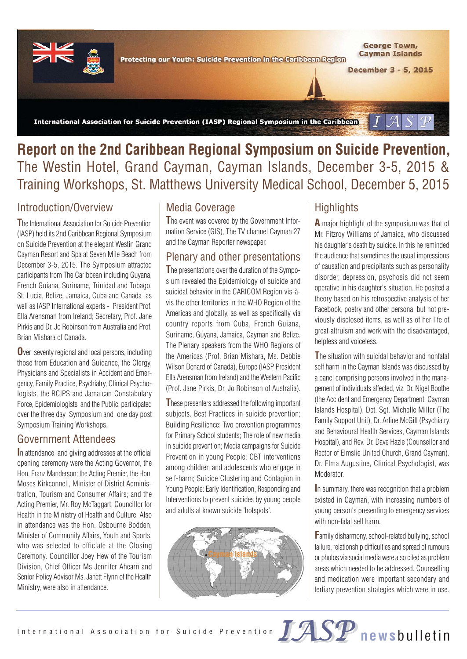

International Association for Suicide Prevention (IASP) Regional Symposium in the Caribbean  $J\mathcal{A}$ 

#### **Report on the 2nd Caribbean Regional Symposium on Suicide Prevention,** The Westin Hotel, Grand Cayman, Cayman Islands, December 3-5, 2015 & Training Workshops, St. Matthews University Medical School, December 5, 2015

#### Introduction/Overview

**T**he International Association for Suicide Prevention (IASP) held its 2nd Caribbean Regional Symposium on Suicide Prevention at the elegant Westin Grand Cayman Resort and Spa at Seven Mile Beach from December 3-5, 2015. The Symposium attracted participants from The Caribbean including Guyana, French Guiana, Suriname, Trinidad and Tobago, St. Lucia, Belize, Jamaica, Cuba and Canada as well as IASP International experts - President Prof. Ella Arensman from Ireland; Secretary, Prof. Jane Pirkis and Dr. Jo Robinson from Australia and Prof. Brian Mishara of Canada.

**O**ver seventy regional and local persons, including those from Education and Guidance, the Clergy, Physicians and Specialists in Accident and Emergency, Family Practice, Psychiatry, Clinical Psychologists, the RCIPS and Jamaican Constabulary Force, Epidemiologists and the Public, participated over the three day Symposium and one day post Symposium Training Workshops.

#### Government Attendees

**I**n attendance and giving addresses at the official opening ceremony were the Acting Governor, the Hon. Franz Manderson; the Acting Premier, the Hon. Moses Kirkconnell, Minister of District Administration, Tourism and Consumer Affairs; and the Acting Premier, Mr. Roy McTaggart, Councillor for Health in the Ministry of Health and Culture. Also in attendance was the Hon. Osbourne Bodden, Minister of Community Affairs, Youth and Sports, who was selected to officiate at the Closing Ceremony. Councillor Joey Hew of the Tourism Division, Chief Officer Ms Jennifer Ahearn and Senior Policy Advisor Ms. Janett Flynn of the Health Ministry, were also in attendance.

#### Media Coverage

**T**he event was covered by the Government Information Service (GIS), The TV channel Cayman 27 and the Cayman Reporter newspaper.

#### Plenary and other presentations

**T**he presentations over the duration of the Symposium revealed the Epidemiology of suicide and suicidal behavior in the CARICOM Region vis-àvis the other territories in the WHO Region of the Americas and globally, as well as specifically via country reports from Cuba, French Guiana, Suriname, Guyana, Jamaica, Cayman and Belize. The Plenary speakers from the WHO Regions of the Americas (Prof. Brian Mishara, Ms. Debbie Wilson Denard of Canada), Europe (IASP President Ella Arensman from Ireland) and the Western Pacific (Prof. Jane Pirkis, Dr. Jo Robinson of Australia).

**T**hese presenters addressed the following important subjects. Best Practices in suicide prevention; Building Resilience: Two prevention programmes for Primary School students; The role of new media in suicide prevention; Media campaigns for Suicide Prevention in young People; CBT interventions among children and adolescents who engage in self-harm; Suicide Clustering and Contagion in Young People: Early Identification, Responding and Interventions to prevent suicides by young people and adults at known suicide 'hotspots'.



#### **Highlights**

**A** major highlight of the symposium was that of Mr. Fitzroy Williams of Jamaica, who discussed his daughter's death by suicide. In this he reminded the audience that sometimes the usual impressions of causation and precipitants such as personality disorder, depression, psychosis did not seem operative in his daughter's situation. He posited a theory based on his retrospective analysis of her Facebook, poetry and other personal but not previously disclosed items, as well as of her life of great altruism and work with the disadvantaged, helpless and voiceless.

**T**he situation with suicidal behavior and nonfatal self harm in the Cayman Islands was discussed by a panel comprising persons involved in the management of individuals affected, viz. Dr. Nigel Boothe (the Accident and Emergency Department, Cayman Islands Hospital), Det. Sgt. Michelle Miller (The Family Support Unit), Dr. Arline McGill (Psychiatry and Behavioural Health Services, Cayman Islands Hospital), and Rev. Dr. Dave Hazle (Counsellor and Rector of Elmslie United Church, Grand Cayman). Dr. Elma Augustine, Clinical Psychologist, was Moderator.

**I**n summary, there was recognition that a problem existed in Cayman, with increasing numbers of young person's presenting to emergency services with non-fatal self harm.

**F**amily disharmony, school-related bullying, school failure, relationship difficulties and spread of rumours or photos via social media were also cited as problem areas which needed to be addressed. Counselling and medication were important secondary and tertiary prevention strategies which were in use.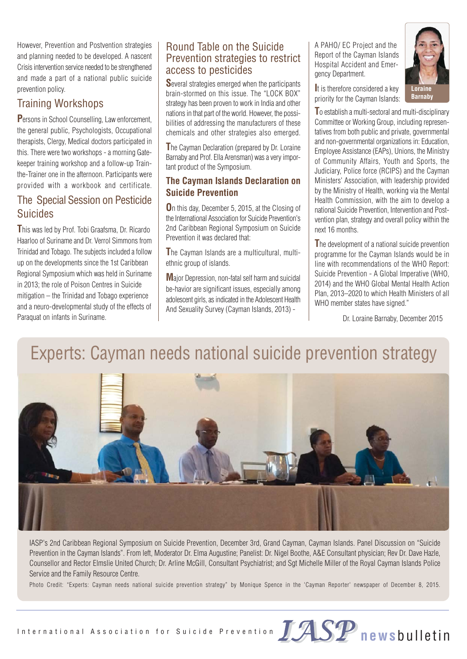However, Prevention and Postvention strategies and planning needed to be developed. A nascent Crisis intervention service needed to be strengthened and made a part of a national public suicide prevention policy.

#### Training Workshops

**P**ersons in School Counselling, Law enforcement, the general public, Psychologists, Occupational therapists, Clergy, Medical doctors participated in this. There were two workshops - a morning Gatekeeper training workshop and a follow-up Trainthe-Trainer one in the afternoon. Participants were provided with a workbook and certificate.

#### The Special Session on Pesticide Suicides

**T**his was led by Prof. Tobi Graafsma, Dr. Ricardo Haarloo of Suriname and Dr. Verrol Simmons from Trinidad and Tobago. The subjects included a follow up on the developments since the 1st Caribbean Regional Symposium which was held in Suriname in 2013; the role of Poison Centres in Suicide mitigation – the Trinidad and Tobago experience and a neuro-developmental study of the effects of Paraquat on infants in Suriname.

#### Round Table on the Suicide Prevention strategies to restrict access to pesticides

**S**everal strategies emerged when the participants brain-stormed on this issue. The "LOCK BOX" strategy has been proven to work in India and other nations in that part of the world. However, the possibilities of addressing the manufacturers of these chemicals and other strategies also emerged.

**T**he Cayman Declaration (prepared by Dr. Loraine Barnaby and Prof. Ella Arensman) was a very important product of the Symposium.

#### **The Cayman Islands Declaration on Suicide Prevention**

**O**n this day, December 5, 2015, at the Closing of the International Association for Suicide Prevention's 2nd Caribbean Regional Symposium on Suicide Prevention it was declared that:

**T**he Cayman Islands are a multicultural, multiethnic group of islands.

**M**ajor Depression, non-fatal self harm and suicidal be-havior are significant issues, especially among adolescent girls, as indicated in the Adolescent Health And Sexuality Survey (Cayman Islands, 2013) -

A PAHO/ EC Project and the Report of the Cayman Islands Hospital Accident and Emergency Department.

**I**t is therefore considered a key priority for the Cayman Islands:



**T**o establish a multi-sectoral and multi-disciplinary Committee or Working Group, including representatives from both public and private, governmental and non-governmental organizations in: Education, Employee Assistance (EAPs), Unions, the Ministry of Community Affairs, Youth and Sports, the Judiciary, Police force (RCIPS) and the Cayman Ministers' Association, with leadership provided by the Ministry of Health, working via the Mental Health Commission, with the aim to develop a national Suicide Prevention, Intervention and Postvention plan, strategy and overall policy within the next 16 months.

**T**he development of a national suicide prevention programme for the Cayman Islands would be in line with recommendations of the WHO Report: Suicide Prevention - A Global Imperative (WHO, 2014) and the WHO Global Mental Health Action Plan, 2013–2020 to which Health Ministers of all WHO member states have signed."

Dr. Loraine Barnaby, December 2015

## Experts: Cayman needs national suicide prevention strategy



IASP's 2nd Caribbean Regional Symposium on Suicide Prevention, December 3rd, Grand Cayman, Cayman Islands. Panel Discussion on "Suicide Prevention in the Cayman Islands". From left, Moderator Dr. Elma Augustine; Panelist: Dr. Nigel Boothe, A&E Consultant physician; Rev Dr. Dave Hazle, Counsellor and Rector Elmslie United Church; Dr. Arline McGill, Consultant Psychiatrist; and Sgt Michelle Miller of the Royal Cayman Islands Police Service and the Family Resource Centre.

Photo Credit: "Experts: Cayman needs national suicide prevention strategy" by Monique Spence in the 'Cayman Reporter' newspaper of December 8, 2015.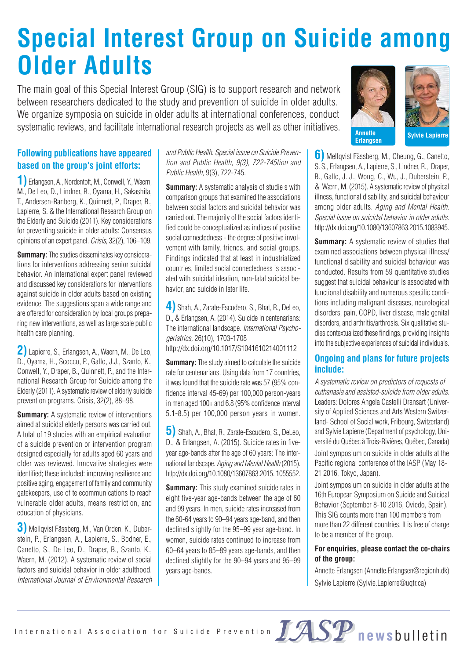## **Special Interest Group on Suicide among Older Adults**

The main goal of this Special Interest Group (SIG) is to support research and network between researchers dedicated to the study and prevention of suicide in older adults. We organize symposia on suicide in older adults at international conferences, conduct systematic reviews, and facilitate international research projects as well as other initiatives.<br>**Annette** 

#### **Following publications have appeared based on the group's joint efforts:**

**1)** Erlangsen, A., Nordentoft, M., Conwell, Y., Waern, M., De Leo, D., Lindner, R., Oyama, H., Sakashita, T., Andersen-Ranberg, K., Quinnett, P., Draper, B., Lapierre, S. & the International Research Group on the Elderly and Suicide (2011). Key considerations for preventing suicide in older adults: Consensus opinions of an expert panel. Crisis, 32(2), 106–109.

**Summary:** The studies disseminates key considerations for interventions addressing senior suicidal behavior. An international expert panel reviewed and discussed key considerations for interventions against suicide in older adults based on existing evidence. The suggestions span a wide range and are offered for consideration by local groups preparing new interventions, as well as large scale public health care planning.

**2)** Lapierre, S., Erlangsen, A., Waern, M., De Leo, D., Oyama, H., Scocco, P., Gallo, J.J., Szanto, K., Conwell, Y., Draper, B., Quinnett, P., and the International Research Group for Suicide among the Elderly (2011). A systematic review of elderly suicide prevention programs. Crisis, 32(2), 88–98.

**Summary:** A systematic review of interventions aimed at suicidal elderly persons was carried out. A total of 19 studies with an empirical evaluation of a suicide prevention or intervention program designed especially for adults aged 60 years and older was reviewed. Innovative strategies were identified; these included: improving resilience and positive aging, engagement of family and community gatekeepers, use of telecommunications to reach vulnerable older adults, means restriction, and education of physicians.

**3)** Mellqvist Fässberg, M., Van Orden, K., Duberstein, P., Erlangsen, A., Lapierre, S., Bodner, E., Canetto, S., De Leo, D., Draper, B., Szanto, K., Waern, M. (2012). A systematic review of social factors and suicidal behavior in older adulthood. International Journal of Environmental Research and Public Health. Special issue on Suicide Prevention and Public Health, 9(3), 722-745tion and Public Health, 9(3), 722-745.

**Summary:** A systematic analysis of studie s with comparison groups that examined the associations between social factors and suicidal behavior was carried out. The majority of the social factors identified could be conceptualized as indices of positive social connectedness - the degree of positive involvement with family, friends, and social groups. Findings indicated that at least in industrialized countries, limited social connectedness is associated with suicidal ideation, non-fatal suicidal behavior, and suicide in later life.

**4)** Shah, A., Zarate-Escudero, S., Bhat, R., DeLeo, D., & Erlangsen, A. (2014). Suicide in centenarians: The international landscape. International Psychogeriatrics, 26(10), 1703-1708 http://dx.doi.org/10.1017/S1041610214001112

**Summary:** The study aimed to calculate the suicide rate for centenarians. Using data from 17 countries, it was found that the suicide rate was 57 (95% confidence interval 45-69) per 100,000 person-years in men aged 100+ and 6.8 (95% confidence interval 5.1-8.5) per 100,000 person years in women.

**5)** Shah, A., Bhat, R., Zarate-Escudero, S., DeLeo, D., & Erlangsen, A. (2015). Suicide rates in fiveyear age-bands after the age of 60 years: The international landscape. Aging and Mental Health (2015). http://dx.doi.org/10.1080/13607863.2015. 1055552.

**Summary:** This study examined suicide rates in eight five-year age-bands between the age of 60 and 99 years. In men, suicide rates increased from the 60-64 years to 90–94 years age-band, and then declined slightly for the 95–99 year age-band. In women, suicide rates continued to increase from 60–64 years to 85–89 years age-bands, and then declined slightly for the 90–94 years and 95–99 years age-bands.



**Erlangsen Sylvie Lapierre**

**6)** Mellqvist Fässberg, M., Cheung, G., Canetto, S. S., Erlangsen, A., Lapierre, S., Lindner, R., Draper, B., Gallo, J. J., Wong, C., Wu, J., Duberstein, P., & Wærn, M. (2015). A systematic review of physical illness, functional disability, and suicidal behaviour among older adults. Aging and Mental Health. Special issue on suicidal behavior in older adults. http://dx.doi.org/10.1080/13607863.2015.1083945.

**Summary:** A systematic review of studies that examined associations between physical illness/ functional disability and suicidal behaviour was conducted. Results from 59 quantitative studies suggest that suicidal behaviour is associated with functional disability and numerous specific conditions including malignant diseases, neurological disorders, pain, COPD, liver disease, male genital disorders, and arthritis/arthrosis. Six qualitative studies contextualized these findings, providing insights into the subjective experiences of suicidal individuals.

#### **Ongoing and plans for future projects include:**

A systematic review on predictors of requests of euthanasia and assisted-suicide from older adults. Leaders: Dolores Angela Castelli Dransart (University of Applied Sciences and Arts Western Switzerland- School of Social work, Fribourg, Switzerland) and Sylvie Lapierre (Department of psychology, Université du Québec à Trois-Rivières, Québec, Canada) Joint symposium on suicide in older adults at the Pacific regional conference of the IASP (May 18- 21 2016, Tokyo, Japan).

Joint symposium on suicide in older adults at the 16th European Symposium on Suicide and Suicidal Behavior (September 8-10 2016, Oviedo, Spain). This SIG counts more than 100 members from more than 22 different countries. It is free of charge to be a member of the group.

#### **For enquiries, please contact the co-chairs of the group:**

Annette Erlangsen (Annette.Erlangsen@regionh.dk) Sylvie Lapierre (Sylvie.Lapierre@uqtr.ca)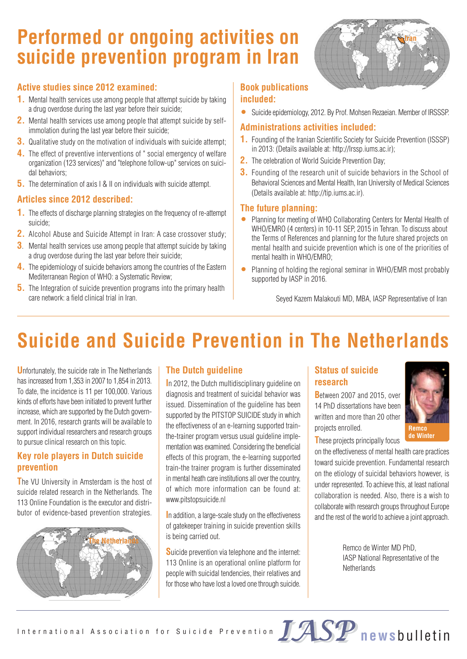## **Performed or ongoing activities on suicide prevention program in Iran**

# **Iran**

#### **Active studies since 2012 examined:**

- **1.** Mental health services use among people that attempt suicide by taking a drug overdose during the last year before their suicide;
- **2.** Mental health services use among people that attempt suicide by selfimmolation during the last year before their suicide;
- **3.** Qualitative study on the motivation of individuals with suicide attempt;
- **4.** The effect of preventive interventions of " social emergency of welfare organization (123 services)" and "telephone follow-up" services on suicidal behaviors;
- **5.** The determination of axis I & II on individuals with suicide attempt.

#### **Articles since 2012 described:**

- **1.** The effects of discharge planning strategies on the frequency of re-attempt suicide;
- **2.** Alcohol Abuse and Suicide Attempt in Iran: A case crossover study;
- **3**. Mental health services use among people that attempt suicide by taking a drug overdose during the last year before their suicide;
- **4.** The epidemiology of suicide behaviors among the countries of the Eastern Mediterranean Region of WHO: a Systematic Review;
- **5.** The Integration of suicide prevention programs into the primary health care network: a field clinical trial in Iran.

#### **Book publications included:**

• Suicide epidemiology, 2012. By Prof. Mohsen Rezaeian. Member of IRSSSP.

#### **Administrations activities included:**

- **1.** Founding of the Iranian Scientific Society for Suicide Prevention (ISSSP) in 2013: (Details available at: http://Irssp.iums.ac.ir);
- **2.** The celebration of World Suicide Prevention Day;
- **3.** Founding of the research unit of suicide behaviors in the School of Behavioral Sciences and Mental Health, Iran University of Medical Sciences (Details available at: http://tip.iums.ac.ir).

#### **The future planning:**

- Planning for meeting of WHO Collaborating Centers for Mental Health of WHO/EMRO (4 centers) in 10-11 SEP, 2015 in Tehran. To discuss about the Terms of References and planning for the future shared projects on mental health and suicide prevention which is one of the priorities of mental health in WHO/EMRO;
- Planning of holding the regional seminar in WHO/EMR most probably supported by IASP in 2016.

Seyed Kazem Malakouti MD, MBA, IASP Representative of Iran

## **Suicide and Suicide Prevention in The Netherlands**

**U**nfortunately, the suicide rate in The Netherlands has increased from 1,353 in 2007 to 1,854 in 2013. To date, the incidence is 11 per 100,000. Various kinds of efforts have been initiated to prevent further increase, which are supported by the Dutch government. In 2016, research grants will be available to support individual researchers and research groups to pursue clinical research on this topic.

#### **Key role players in Dutch suicide prevention**

**T**he VU University in Amsterdam is the host of suicide related research in the Netherlands. The 113 Online Foundation is the executor and distributor of evidence-based prevention strategies.



#### **The Dutch guideline**

**I**n 2012, the Dutch multidisciplinary guideline on diagnosis and treatment of suicidal behavior was issued. Dissemination of the guideline has been supported by the PITSTOP SUICIDE study in which the effectiveness of an e-learning supported trainthe-trainer program versus usual guideline implementation was examined. Considering the beneficial effects of this program, the e-learning supported train-the trainer program is further disseminated in mental heath care institutions all over the country, of which more information can be found at: www.pitstopsuicide.nl

**I**n addition, a large-scale study on the effectiveness of gatekeeper training in suicide prevention skills is being carried out.

**S**uicide prevention via telephone and the internet: 113 Online is an operational online platform for people with suicidal tendencies, their relatives and for those who have lost a loved one through suicide.

#### **Status of suicide research**

**B**etween 2007 and 2015, over 14 PhD dissertations have been written and more than 20 other projects enrolled.



**T**hese projects principally focus

on the effectiveness of mental health care practices toward suicide prevention. Fundamental research on the etiology of suicidal behaviors however, is under represented. To achieve this, at least national collaboration is needed. Also, there is a wish to collaborate with research groups throughout Europe and the rest of the world to achieve a joint approach.

> Remco de Winter MD PhD, IASP National Representative of the **Netherlands**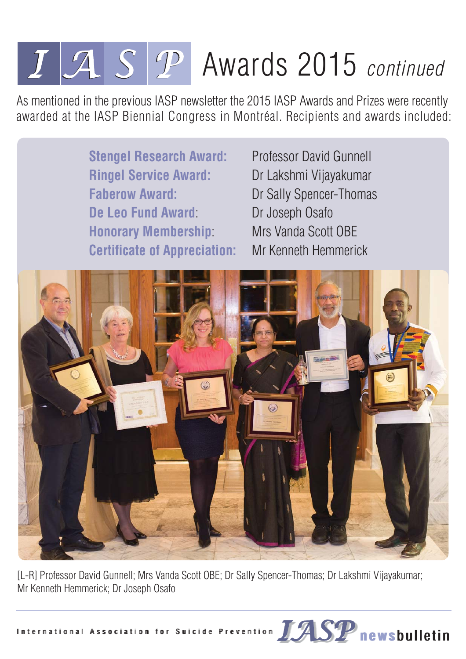## $I\Box S$   $P$  Awards 2015 continued

As mentioned in the previous IASP newsletter the 2015 IASP Awards and Prizes were recently awarded at the IASP Biennial Congress in Montréal. Recipients and awards included:



[L-R] Professor David Gunnell; Mrs Vanda Scott OBE; Dr Sally Spencer-Thomas; Dr Lakshmi Vijayakumar; Mr Kenneth Hemmerick; Dr Joseph Osafo

International Association for Suicide Prevention **NASP** newsbulletin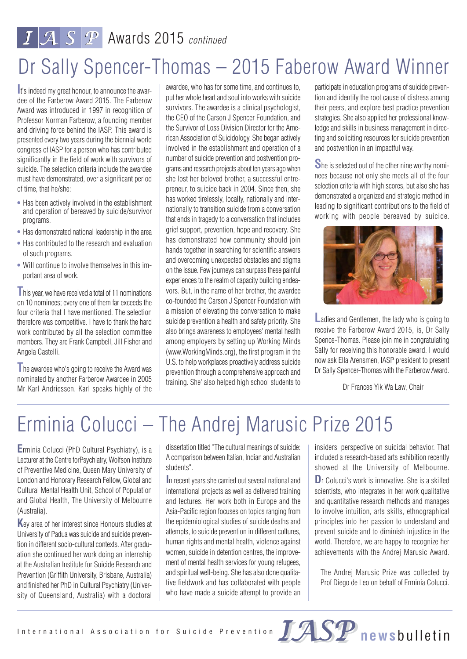## $I\|\mathcal{A}\|\mathcal{S}\|\mathcal{P}\|$  Awards 2015 continued

## Dr Sally Spencer-Thomas – 2015 Faberow Award Winner

**I**t's indeed my great honour, to announce the awardee of the Farberow Award 2015. The Farberow Award was introduced in 1997 in recognition of Professor Norman Farberow, a founding member and driving force behind the IASP. This award is presented every two years during the biennial world congress of IASP for a person who has contributed significantly in the field of work with survivors of suicide. The selection criteria include the awardee must have demonstrated, over a significant period of time, that he/she:

- **•** Has been actively involved in the establishment and operation of bereaved by suicide/survivor programs.
- **•** Has demonstrated national leadership in the area
- **•** Has contributed to the research and evaluation of such programs.
- **•** Will continue to involve themselves in this im portant area of work.

**T**his year, we have received a total of 11 nominations on 10 nominees; every one of them far exceeds the four criteria that I have mentioned. The selection therefore was competitive. I have to thank the hard work contributed by all the selection committee members. They are Frank Campbell, Jill Fisher and Angela Castelli.

**T**he awardee who's going to receive the Award was nominated by another Farberow Awardee in 2005 Mr Karl Andriessen. Karl speaks highly of the awardee, who has for some time, and continues to, put her whole heart and soul into works with suicide survivors. The awardee is a clinical psychologist, the CEO of the Carson J Spencer Foundation, and the Survivor of Loss Division Director for the American Association of Suicidology. She began actively involved in the establishment and operation of a number of suicide prevention and postvention programs and research projects about ten years ago when she lost her beloved brother, a successful entrepreneur, to suicide back in 2004. Since then, she has worked tirelessly, locally, nationally and internationally to transition suicide from a conversation that ends in tragedy to a conversation that includes grief support, prevention, hope and recovery. She has demonstrated how community should join hands together in searching for scientific answers and overcoming unexpected obstacles and stigma on the issue. Few journeys can surpass these painful experiences to the realm of capacity building endeavors. But, in the name of her brother, the awardee co-founded the Carson J Spencer Foundation with a mission of elevating the conversation to make suicide prevention a health and safety priority. She also brings awareness to employees' mental health among employers by setting up Working Minds (www.WorkingMinds.org), the first program in the U.S. to help workplaces proactively address suicide prevention through a comprehensive approach and training. She' also helped high school students to

participate in education programs of suicide prevention and identify the root cause of distress among their peers, and explore best practice prevention strategies. She also applied her professional knowledge and skills in business management in directing and soliciting resources for suicide prevention and postvention in an impactful way.

**S**he is selected out of the other nine worthy nominees because not only she meets all of the four selection criteria with high scores, but also she has demonstrated a organized and strategic method in leading to significant contributions to the field of working with people bereaved by suicide.



**L**adies and Gentlemen, the lady who is going to receive the Farberow Award 2015, is, Dr Sally Spence-Thomas. Please join me in congratulating Sally for receiving this honorable award. I would now ask Ella Arensmen, IASP president to present Dr Sally Spencer-Thomas with the Farberow Award.

Dr Frances Yik Wa Law, Chair

## Erminia Colucci – The Andrej Marusic Prize 2015

**E**rminia Colucci (PhD Cultural Psychiatry), is a Lecturer at the Centre forPsychiatry, Wolfson Institute of Preventive Medicine, Queen Mary University of London and Honorary Research Fellow, Global and Cultural Mental Health Unit, School of Population and Global Health, The University of Melbourne (Australia).

**K**ey area of her interest since Honours studies at University of Padua was suicide and suicide prevention in different socio-cultural contexts. After graduation she continued her work doing an internship at the Australian Institute for Suicide Research and Prevention (Griffith University, Brisbane, Australia) and finished her PhD in Cultural Psychiatry (University of Queensland, Australia) with a doctoral

dissertation titled "The cultural meanings of suicide: A comparison between Italian, Indian and Australian students".

**I**n recent years she carried out several national and international projects as well as delivered training and lectures. Her work both in Europe and the Asia-Pacific region focuses on topics ranging from the epidemiological studies of suicide deaths and attempts, to suicide prevention in different cultures, human rights and mental health, violence against women, suicide in detention centres, the improvement of mental health services for young refugees, and spiritual well-being. She has also done qualitative fieldwork and has collaborated with people who have made a suicide attempt to provide an insiders' perspective on suicidal behavior. That included a research-based arts exhibition recently showed at the University of Melbourne. **D**r Colucci's work is innovative. She is a skilled scientists, who integrates in her work qualitative and quantitative research methods and manages to involve intuition, arts skills, ethnographical principles into her passion to understand and prevent suicide and to diminish injustice in the world. Therefore, we are happy to recognize her achievements with the Andrej Marusic Award.

The Andrej Marusic Prize was collected by Prof Diego de Leo on behalf of Erminia Colucci.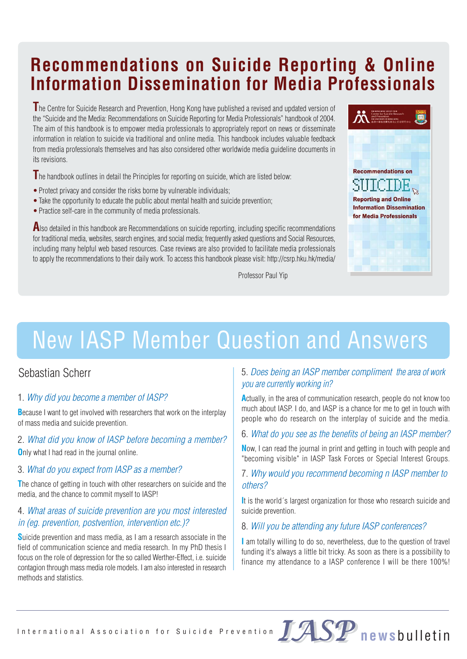## **Recommendations on Suicide Reporting & Online Information Dissemination for Media Professionals**

**T**he Centre for Suicide Research and Prevention, Hong Kong have published a revised and updated version of the "Suicide and the Media: Recommendations on Suicide Reporting for Media Professionals" handbook of 2004. The aim of this handbook is to empower media professionals to appropriately report on news or disseminate information in relation to suicide via traditional and online media. This handbook includes valuable feedback from media professionals themselves and has also considered other worldwide media guideline documents in its revisions.

**T**he handbook outlines in detail the Principles for reporting on suicide, which are listed below:

- Protect privacy and consider the risks borne by vulnerable individuals;
- •Take the opportunity to educate the public about mental health and suicide prevention;
- Practice self-care in the community of media professionals.

Also detailed in this handbook are Recommendations on suicide reporting, including specific recommendations for traditional media, websites, search engines, and social media; frequently asked questions and Social Resources, including many helpful web based resources. Case reviews are also provided to facilitate media professionals to apply the recommendations to their daily work. To access this handbook please visit: http://csrp.hku.hk/media/

Professor Paul Yip



## New IASP Member Question and Answers

#### Sebastian Scherr

#### 1. Why did you become a member of IASP?

**B**ecause I want to get involved with researchers that work on the interplay of mass media and suicide prevention.

#### 2. What did you know of IASP before becoming a member?

**O**nly what I had read in the journal online.

#### 3. What do you expect from IASP as a member?

**T**he chance of getting in touch with other researchers on suicide and the media, and the chance to commit myself to IASP!

#### 4. What areas of suicide prevention are you most interested in (eg. prevention, postvention, intervention etc.)?

**S**uicide prevention and mass media, as I am a research associate in the field of communication science and media research. In my PhD thesis I focus on the role of depression for the so called Werther-Effect, i.e. suicide contagion through mass media role models. I am also interested in research methods and statistics.

#### 5. Does being an IASP member compliment the area of work you are currently working in?

**A**ctually, in the area of communication research, people do not know too much about IASP. I do, and IASP is a chance for me to get in touch with people who do research on the interplay of suicide and the media.

#### 6. What do you see as the benefits of being an IASP member?

**N**ow, I can read the journal in print and getting in touch with people and "becoming visible" in IASP Task Forces or Special Interest Groups.

#### 7. Why would you recommend becoming n IASP member to others?

**I**t is the world´s largest organization for those who research suicide and suicide prevention.

#### 8. Will you be attending any future IASP conferences?

**I** am totally willing to do so, nevertheless, due to the question of travel funding it's always a little bit tricky. As soon as there is a possibility to finance my attendance to a IASP conference I will be there 100%!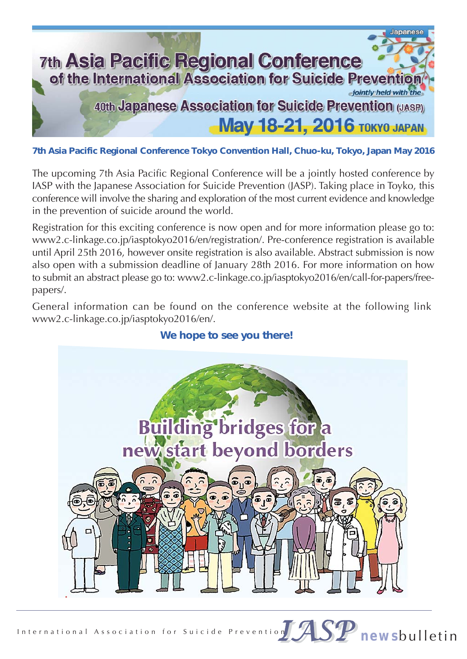

**7th Asia Pacific Regional Conference Tokyo Convention Hall, Chuo-ku, Tokyo, Japan May 2016**

The upcoming 7th Asia Pacific Regional Conference will be a jointly hosted conference by IASP with the Japanese Association for Suicide Prevention (JASP). Taking place in Toyko, this conference will involve the sharing and exploration of the most current evidence and knowledge in the prevention of suicide around the world.

Registration for this exciting conference is now open and for more information please go to: www2.c-linkage.co.jp/iasptokyo2016/en/registration/. Pre-conference registration is available until April 25th 2016, however onsite registration is also available. Abstract submission is now also open with a submission deadline of January 28th 2016. For more information on how to submit an abstract please go to: www2.c-linkage.co.jp/iasptokyo2016/en/call-for-papers/freepapers/.

General information can be found on the conference website at the following link: www2.c-linkage.co.jp/iasptokyo2016/en/.



#### **We hope to see you there!**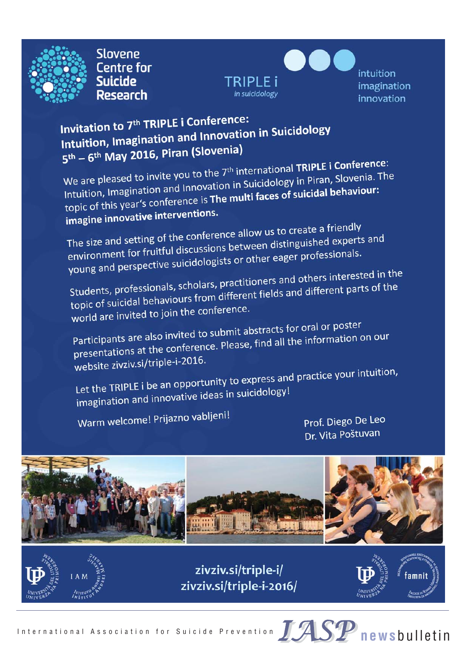

**Slovene Centre for Suicide Research** 



intuition imagination innovation

### Invitation to 7<sup>th</sup> TRIPLE i Conference: Invitation to 7<sup>th</sup> TRIPLE i Conference.<br>Intuition, Imagination and Innovation in Suicidology  $5<sup>th</sup> - 6<sup>th</sup>$  May 2016, Piran (Slovenia)

 $5<sup>th</sup> - 6<sup>th</sup>$  May 2016, Firent (Siecerter, 2016)<br>We are pleased to invite you to the 7<sup>th</sup> international TRIPLE i Conference:<br>and Innovation in Suicidology in Piran, Slovenia. The We are pleased to invite you to the 7<sup>th</sup> international **IRIPLE I COMPT**<br>Intuition, Imagination and Innovation in Suicidology in Piran, Slovenia. The Intuition, Imagination and Innovation in Suicidology in Phan, Siovenia<br>topic of this year's conference is **The multi faces of suicidal behaviour:**<br>topic of this year's conference is **The multi faces of suicidal behaviour:** topic of this year's come.

The size and setting of the conference allow us to create a friendly<br>The size and setting of the conference allow us to create a friendly The size and setting of the conference allow us to create a memory,<br>environment for fruitful discussions between distinguished experts and<br>environment for fruitful discussions between distinguished experts and environment for fruitful discussions between distributions.<br>young and perspective suicidologists or other eager professionals.

young and perspective suicidency.<br>Students, professionals, scholars, practitioners and others interested in the<br>Students, professionals, scholars, practitioners and different parts of the Students, professionals, scholars, practitioners and others interested.<br>topic of suicidal behaviours from different fields and different parts of the topic of suicidal behaviours ...<br>world are invited to join the conference.

world are invited to joint the submit abstracts for oral or poster<br>Participants are also invited to submit abstracts for oral or poster Participants are also invited to submit abstracts for oral or poses.<br>presentations at the conference. Please, find all the information on our website zivziv.si/triple-i-2016.

website zivziv.si/triple i 2020.<br>Let the TRIPLE i be an opportunity to express and practice your intuition,<br>Let the TRIPLE i be an opportunity to express and practice your intuition, Let the TRIPLE i be an opportunity to the TRIPLE is be an opportunity to the TRIPUS

Warm welcome! Prijazno vabljeni!

Prof. Diego De Leo Dr. Vita Poštuvan





zivziv.si/triple-i/ zivziv.si/triple-i-2016/

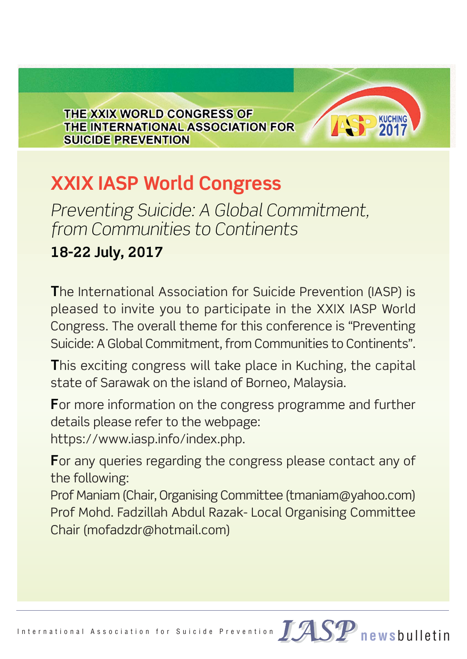THE XXIX WORLD CONGRESS OF THE INTERNATIONAL ASSOCIATION FOR **SUICIDE PREVENTION** 

## **XXIX IASP World Congress**

*Preventing Suicide: A Global Commitment, from Communities to Continents*

## **18-22 July, 2017**

**T**he International Association for Suicide Prevention (IASP) is pleased to invite you to participate in the XXIX IASP World Congress. The overall theme for this conference is "Preventing Suicide: A Global Commitment, from Communities to Continents".

**KUCHING** 

**T**his exciting congress will take place in Kuching, the capital state of Sarawak on the island of Borneo, Malaysia.

**F**or more information on the congress programme and further details please refer to the webpage:

https://www.iasp.info/index.php.

**F**or any queries regarding the congress please contact any of the following:

Prof Maniam (Chair, Organising Committee (tmaniam@yahoo.com) Prof Mohd. Fadzillah Abdul Razak- Local Organising Committee Chair (mofadzdr@hotmail.com)

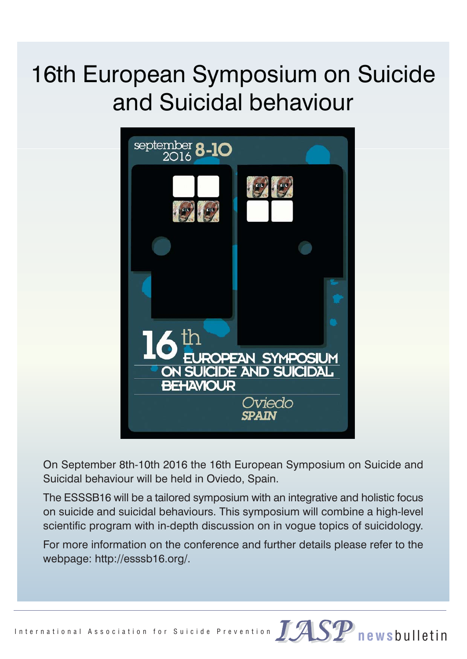## 16th European Symposium on Suicide and Suicidal behaviour



On September 8th-10th 2016 the 16th European Symposium on Suicide and Suicidal behaviour will be held in Oviedo, Spain.

The ESSSB16 will be a tailored symposium with an integrative and holistic focus on suicide and suicidal behaviours. This symposium will combine a high-level scientific program with in-depth discussion on in vogue topics of suicidology.

For more information on the conference and further details please refer to the webpage: http://esssb16.org/.

International Association for Suicide Prevention JASP newsbulletin